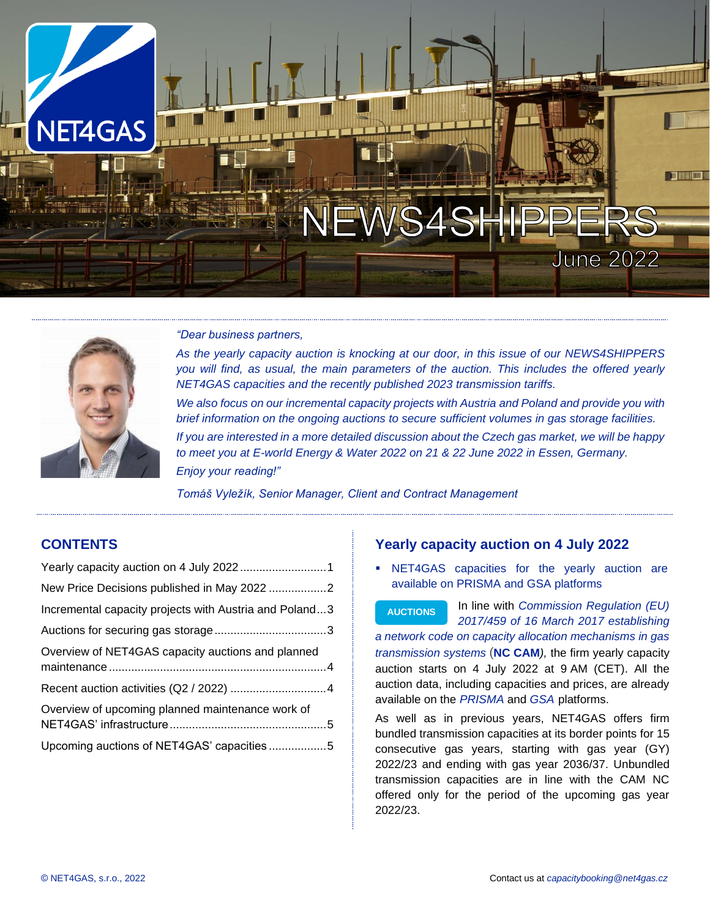



#### *"Dear business partners,*

*As the yearly capacity auction is knocking at our door, in this issue of our NEWS4SHIPPERS you will find, as usual, the main parameters of the auction. This includes the offered yearly NET4GAS capacities and the recently published 2023 transmission tariffs. We also focus on our incremental capacity projects with Austria and Poland and provide you with brief information on the ongoing auctions to secure sufficient volumes in gas storage facilities. If you are interested in a more detailed discussion about the Czech gas market, we will be happy to meet you at E-world Energy & Water 2022 on 21 & 22 June 2022 in Essen, Germany. Enjoy your reading!"*

*Tomáš Vyležík, Senior Manager, Client and Contract Management*

# **CONTENTS**

| Incremental capacity projects with Austria and Poland3 |  |
|--------------------------------------------------------|--|
|                                                        |  |
| Overview of NET4GAS capacity auctions and planned      |  |
|                                                        |  |
|                                                        |  |
| Overview of upcoming planned maintenance work of       |  |
|                                                        |  |
| Upcoming auctions of NET4GAS' capacities 5             |  |

## <span id="page-0-0"></span>**Yearly capacity auction on 4 July 2022**

NET4GAS capacities for the yearly auction are available on PRISMA and GSA platforms

In line with *[Commission Regulation \(EU\)](https://eur-lex.europa.eu/legal-content/EN/TXT/?qid=1503060564207&uri=CELEX:32017R0459)  [2017/459 of 16 March 2017 establishing](https://eur-lex.europa.eu/legal-content/EN/TXT/?qid=1503060564207&uri=CELEX:32017R0459)  [a network code on capacity allocation mechanisms in gas](https://eur-lex.europa.eu/legal-content/EN/TXT/?qid=1503060564207&uri=CELEX:32017R0459)  [transmission systems](https://eur-lex.europa.eu/legal-content/EN/TXT/?qid=1503060564207&uri=CELEX:32017R0459)* (**NC [CAM](https://eur-lex.europa.eu/legal-content/EN/TXT/?qid=1503060564207&uri=CELEX:32017R0459)***),* the firm yearly capacity auction starts on 4 July 2022 at 9 AM (CET). All the auction data, including capacities and prices, are already available on the *[PRISMA](https://platform.prisma-capacity.eu/#/start)* and *[GSA](https://www.gsaplatform.eu/)* platforms. **AUCTIONS**

As well as in previous years, NET4GAS offers firm bundled transmission capacities at its border points for 15 consecutive gas years, starting with gas year (GY) 2022/23 and ending with gas year 2036/37. Unbundled transmission capacities are in line with the CAM NC offered only for the period of the upcoming gas year 2022/23.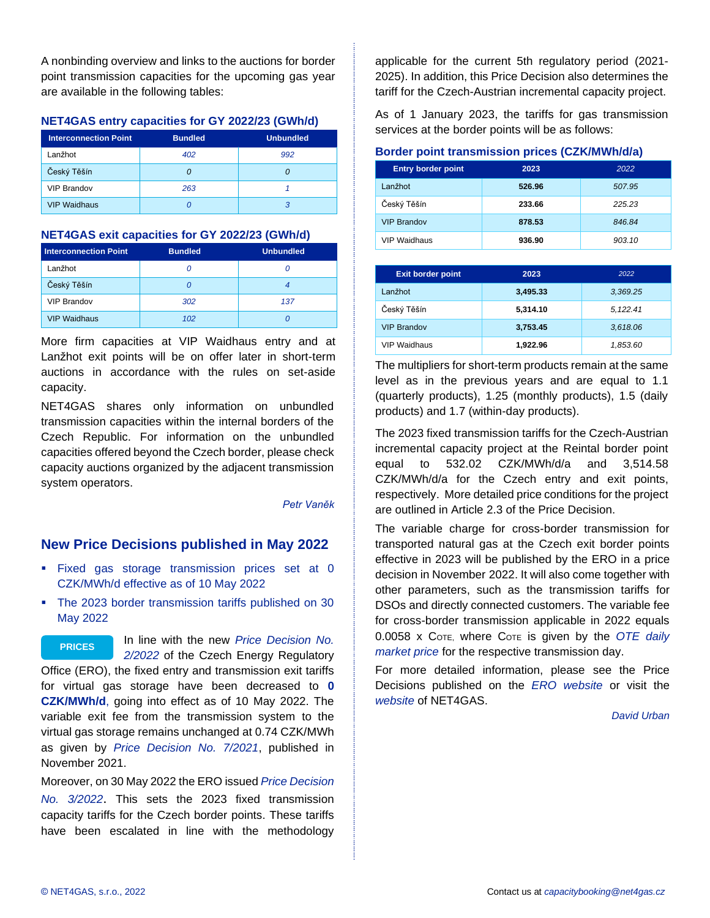A nonbinding overview and links to the auctions for border point transmission capacities for the upcoming gas year are available in the following tables:

## **NET4GAS entry capacities for GY 2022/23 (GWh/d)**

| <b>Interconnection Point</b> | <b>Bundled</b> | <b>Unbundled</b> |
|------------------------------|----------------|------------------|
| Lanžhot                      | 402            | 992              |
| Český Těšín                  |                |                  |
| <b>VIP Brandov</b>           | 263            |                  |
| <b>VIP Waidhaus</b>          |                |                  |

## **NET4GAS exit capacities for GY 2022/23 (GWh/d)**

| <b>Interconnection Point</b> | <b>Bundled</b> | <b>Unbundled</b> |
|------------------------------|----------------|------------------|
| Lanžhot                      |                |                  |
| Český Těšín                  |                |                  |
| <b>VIP Brandov</b>           | 302            | 137              |
| <b>VIP Waidhaus</b>          | 102            |                  |

More firm capacities at VIP Waidhaus entry and at Lanžhot exit points will be on offer later in short-term auctions in accordance with the rules on set-aside capacity.

NET4GAS shares only information on unbundled transmission capacities within the internal borders of the Czech Republic. For information on the unbundled capacities offered beyond the Czech border, please check capacity auctions organized by the adjacent transmission system operators.

### *[Petr Vaněk](mailto:petr.vanek@net4gas.cz)*

# <span id="page-1-0"></span>**New Price Decisions published in May 2022**

- **Exed gas storage transmission prices set at 0** CZK/MWh/d effective as of 10 May 2022
- The 2023 border transmission tariffs published on 30 May 2022

In line with the new *[Price Decision No.](https://www.eru.cz/energeticky-regulacni-vestnik-32022)  [2/2022](https://www.eru.cz/energeticky-regulacni-vestnik-32022)* of the Czech Energy Regulatory Office (ERO), the fixed entry and transmission exit tariffs for virtual gas storage have been decreased to **0 CZK/MWh/d**, going into effect as of 10 May 2022. The variable exit fee from the transmission system to the virtual gas storage remains unchanged at 0.74 CZK/MWh as given by *[Price Decision No. 7/2021](https://www.eru.cz/energeticky-regulacni-vestnik-10-2021)*, published in November 2021. **PRICES**

Moreover, on 30 May 2022 the ERO issued *[Price Decision](mailto:https://www.eru.cz/energeticky-regulacni-vestnik-42022)  [No. 3/2022](mailto:https://www.eru.cz/energeticky-regulacni-vestnik-42022)*. This sets the 2023 fixed transmission capacity tariffs for the Czech border points. These tariffs have been escalated in line with the methodology

applicable for the current 5th regulatory period (2021- 2025). In addition, this Price Decision also determines the tariff for the Czech-Austrian incremental capacity project.

As of 1 January 2023, the tariffs for gas transmission services at the border points will be as follows:

## **Border point transmission prices (CZK/MWh/d/a)**

| <b>Entry border point</b> | 2023   | 2022   |
|---------------------------|--------|--------|
| Lanžhot                   | 526.96 | 507.95 |
| Český Těšín               | 233.66 | 225.23 |
| <b>VIP Brandov</b>        | 878.53 | 846.84 |
| <b>VIP Waidhaus</b>       | 936.90 | 903.10 |

| <b>Exit border point</b> | 2023     | 2022     |
|--------------------------|----------|----------|
| Lanžhot                  | 3,495.33 | 3.369.25 |
| Český Těšín              | 5.314.10 | 5.122.41 |
| <b>VIP Brandov</b>       | 3,753.45 | 3,618.06 |
| <b>VIP Waidhaus</b>      | 1,922.96 | 1,853.60 |

The multipliers for short-term products remain at the same level as in the previous years and are equal to 1.1 (quarterly products), 1.25 (monthly products), 1.5 (daily products) and 1.7 (within-day products).

The 2023 fixed transmission tariffs for the Czech-Austrian incremental capacity project at the Reintal border point equal to 532.02 CZK/MWh/d/a and 3,514.58 CZK/MWh/d/a for the Czech entry and exit points, respectively. More detailed price conditions for the project are outlined in Article 2.3 of the Price Decision.

The variable charge for cross-border transmission for transported natural gas at the Czech exit border points effective in 2023 will be published by the ERO in a price decision in November 2022. It will also come together with other parameters, such as the transmission tariffs for DSOs and directly connected customers. The variable fee for cross-border transmission applicable in 2022 equals 0.0058 x COTE, where COTE is given by the *[OTE daily](https://www.ote-cr.cz/en/short-term-markets/gas/intra-day-market?date=2021-06-01)  [market price](https://www.ote-cr.cz/en/short-term-markets/gas/intra-day-market?date=2021-06-01)* for the respective transmission day.

For more detailed information, please see the Price Decisions published on the *[ERO website](https://www.eru.cz/cenova-rozhodnuti)* or visit the *[website](https://www.net4gas.cz/en/customers/prices/price-decisions/)* of NET4GAS.

*[David Urban](mailto:david.urban@net4gas.cz)*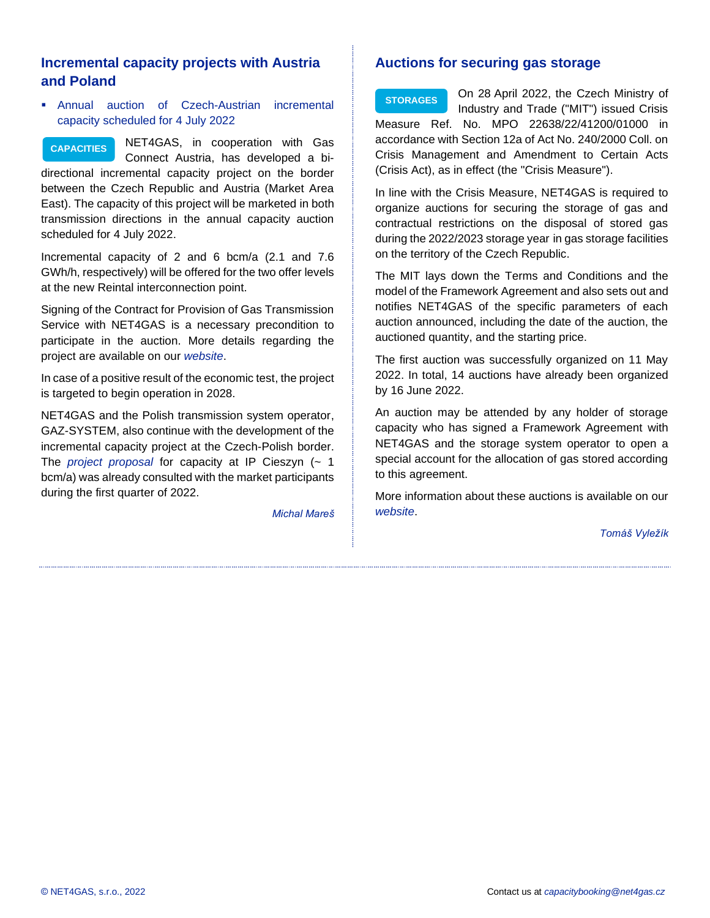# <span id="page-2-0"></span>**Incremental capacity projects with Austria and Poland**

■ Annual auction of Czech-Austrian incremental capacity scheduled for 4 July 2022

**CAPACITIES**

NET4GAS, in cooperation with Gas Connect Austria, has developed a bi-

directional incremental capacity project on the border between the Czech Republic and Austria (Market Area East). The capacity of this project will be marketed in both transmission directions in the annual capacity auction scheduled for 4 July 2022.

Incremental capacity of 2 and 6 bcm/a (2.1 and 7.6 GWh/h, respectively) will be offered for the two offer levels at the new Reintal interconnection point.

Signing of the [Contract for Provision of Gas Transmission](https://www.net4gas.cz/en/customers/products-services/new-transmission-capacity/czech-austrian-connection/)  [Service](https://www.net4gas.cz/en/customers/products-services/new-transmission-capacity/czech-austrian-connection/) with NET4GAS is a necessary precondition to participate in the auction. More details regarding the project are available on our *[website](https://www.net4gas.cz/en/customers/products-services/new-transmission-capacity/czech-austrian-connection/)*.

In case of a positive result of the economic test, the project is targeted to begin operation in 2028.

NET4GAS and the Polish transmission system operator, GAZ-SYSTEM, also continue with the development of the incremental capacity project at the Czech-Polish border. The *[project proposal](https://www.net4gas.cz/en/customers/products-services/new-transmission-capacity/incremental-capacity-process-2021/)* for capacity at IP Cieszyn (~ 1 bcm/a) was already consulted with the market participants during the first quarter of 2022.

*[Michal Mareš](mailto:michal.mares@net4gas.cz)*

# <span id="page-2-1"></span>**Auctions for securing gas storage**

On 28 April 2022, the Czech Ministry of Industry and Trade ("MIT") issued Crisis Measure Ref. No. MPO 22638/22/41200/01000 in accordance with Section 12a of Act No. 240/2000 Coll. on Crisis Management and Amendment to Certain Acts (Crisis Act), as in effect (the "Crisis Measure"). **STORAGES**

In line with the Crisis Measure, NET4GAS is required to organize auctions for securing the storage of gas and contractual restrictions on the disposal of stored gas during the 2022/2023 storage year in gas storage facilities on the territory of the Czech Republic.

The MIT lays down the Terms and Conditions and the model of the Framework Agreement and also sets out and notifies NET4GAS of the specific parameters of each auction announced, including the date of the auction, the auctioned quantity, and the starting price.

The first auction was successfully organized on 11 May 2022. In total, 14 auctions have already been organized by 16 June 2022.

An auction may be attended by any holder of storage capacity who has signed a Framework Agreement with NET4GAS and the storage system operator to open a special account for the allocation of gas stored according to this agreement.

More information about these auctions is available on our *[website](mailto:https://www.net4gas.cz/en/customers/gas-storage-auctions/)*.

*[Tomáš Vyležík](mailto:tomas.vylezik@net4gas.cz)*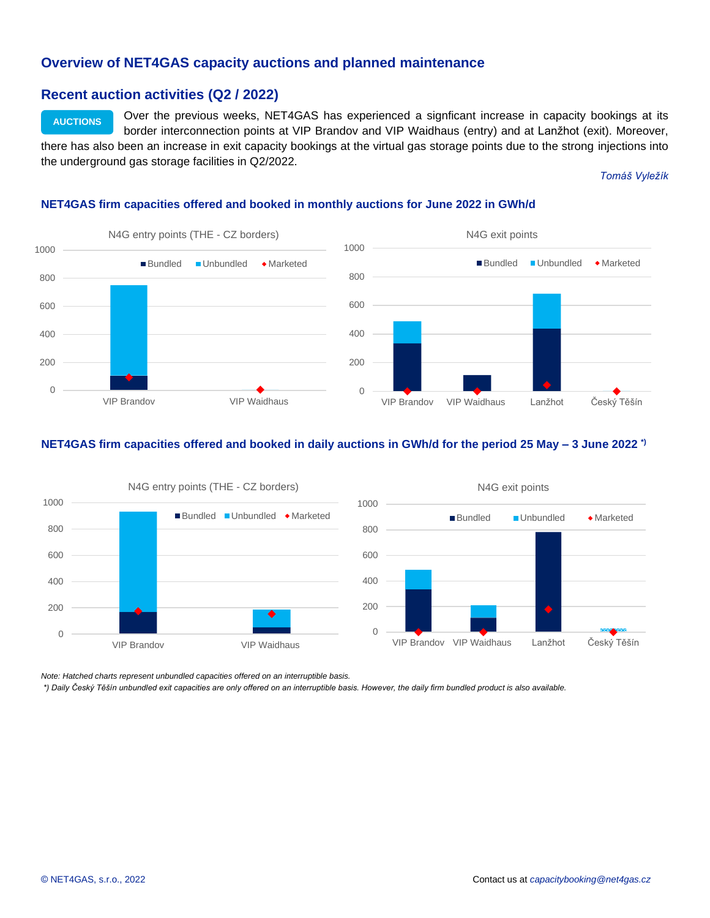## <span id="page-3-0"></span>**Overview of NET4GAS capacity auctions and planned maintenance**

## <span id="page-3-1"></span>**Recent auction activities (Q2 / 2022)**

Over the previous weeks, NET4GAS has experienced a signficant increase in capacity bookings at its border interconnection points at VIP Brandov and VIP Waidhaus (entry) and at Lanžhot (exit). Moreover, there has also been an increase in exit capacity bookings at the virtual gas storage points due to the strong injections into the underground gas storage facilities in Q2/2022. **AUCTIONS**

#### *[Tomáš Vyležík](mailto:tomas.vylezik@net4gas.cz)*

### **NET4GAS firm capacities offered and booked in monthly auctions for June 2022 in GWh/d**



### **NET4GAS firm capacities offered and booked in daily auctions in GWh/d for the period 25 May – 3 June 2022 \*)**



*Note: Hatched charts represent unbundled capacities offered on an interruptible basis.*

*\*) Daily Český Těšín unbundled exit capacities are only offered on an interruptible basis. However, the daily firm bundled product is also available.*